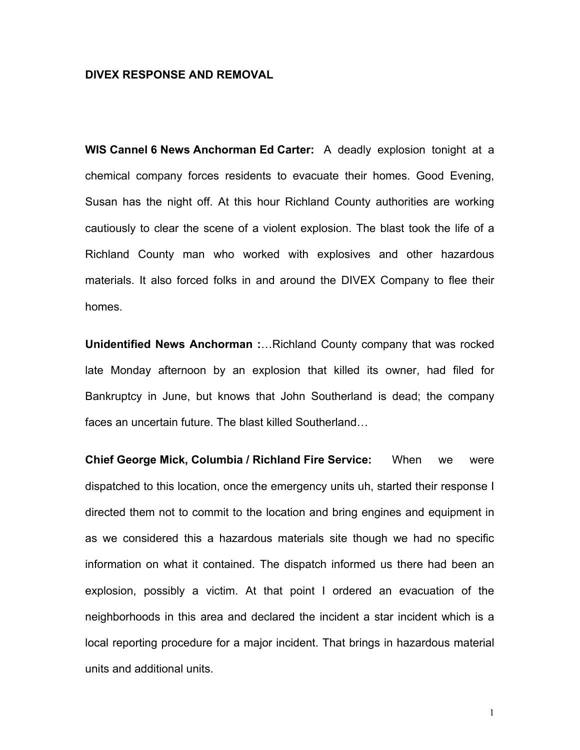## **DIVEX RESPONSE AND REMOVAL**

**WIS Cannel 6 News Anchorman Ed Carter:** A deadly explosion tonight at a chemical company forces residents to evacuate their homes. Good Evening, Susan has the night off. At this hour Richland County authorities are working cautiously to clear the scene of a violent explosion. The blast took the life of a Richland County man who worked with explosives and other hazardous materials. It also forced folks in and around the DIVEX Company to flee their homes.

**Unidentified News Anchorman :... Richland County company that was rocked** late Monday afternoon by an explosion that killed its owner, had filed for Bankruptcy in June, but knows that John Southerland is dead; the company faces an uncertain future. The blast killed Southerland...

**Chief George Mick, Columbia / Richland Fire Service:** When we were dispatched to this location, once the emergency units uh, started their response I directed them not to commit to the location and bring engines and equipment in as we considered this a hazardous materials site though we had no specific information on what it contained. The dispatch informed us there had been an explosion, possibly a victim. At that point I ordered an evacuation of the neighborhoods in this area and declared the incident a star incident which is a local reporting procedure for a major incident. That brings in hazardous material units and additional units.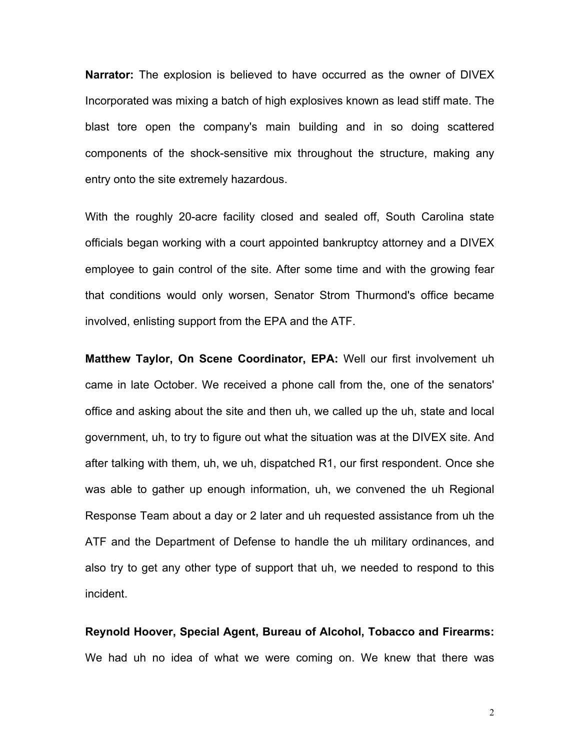**Narrator:** The explosion is believed to have occurred as the owner of DIVEX Incorporated was mixing a batch of high explosives known as lead stiff mate. The blast tore open the company's main building and in so doing scattered components of the shock-sensitive mix throughout the structure, making any entry onto the site extremely hazardous.

With the roughly 20-acre facility closed and sealed off, South Carolina state officials began working with a court appointed bankruptcy attorney and a DIVEX employee to gain control of the site. After some time and with the growing fear that conditions would only worsen, Senator Strom Thurmond's office became involved, enlisting support from the EPA and the ATF.

**Matthew Taylor, On Scene Coordinator, EPA:** Well our first involvement uh came in late October. We received a phone call from the, one of the senators' office and asking about the site and then uh, we called up the uh, state and local government, uh, to try to figure out what the situation was at the DIVEX site. And after talking with them, uh, we uh, dispatched R1, our first respondent. Once she was able to gather up enough information, uh, we convened the uh Regional Response Team about a day or 2 later and uh requested assistance from uh the ATF and the Department of Defense to handle the uh military ordinances, and also try to get any other type of support that uh, we needed to respond to this incident.

**Reynold Hoover, Special Agent, Bureau of Alcohol, Tobacco and Firearms:** We had uh no idea of what we were coming on. We knew that there was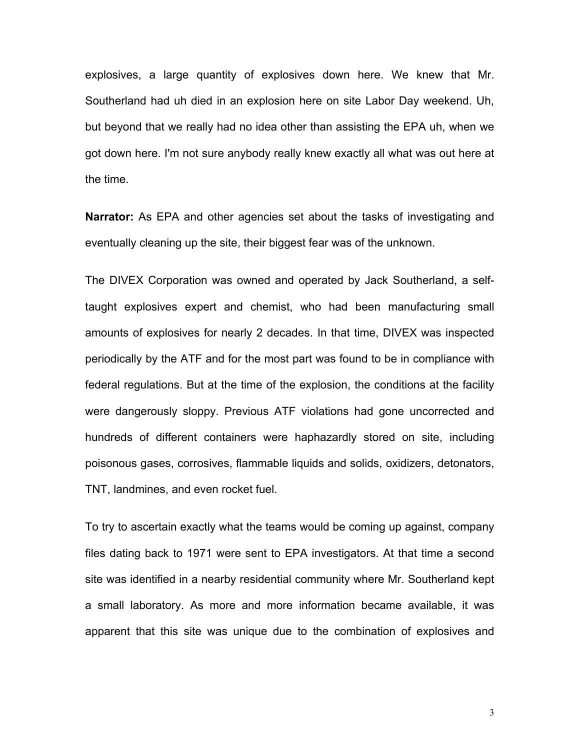explosives, a large quantity of explosives down here. We knew that Mr. Southerland had uh died in an explosion here on site Labor Day weekend. Uh, but beyond that we really had no idea other than assisting the EPA uh, when we got down here. I'm not sure anybody really knew exactly all what was out here at the time.

**Narrator:** As EPA and other agencies set about the tasks of investigating and eventually cleaning up the site, their biggest fear was of the unknown.

The DIVEX Corporation was owned and operated by Jack Southerland, a selftaught explosives expert and chemist, who had been manufacturing small amounts of explosives for nearly 2 decades. In that time, DIVEX was inspected periodically by the ATF and for the most part was found to be in compliance with federal regulations. But at the time of the explosion, the conditions at the facility were dangerously sloppy. Previous ATF violations had gone uncorrected and hundreds of different containers were haphazardly stored on site, including poisonous gases, corrosives, flammable liquids and solids, oxidizers, detonators, TNT, landmines, and even rocket fuel.

To try to ascertain exactly what the teams would be coming up against, company files dating back to 1971 were sent to EPA investigators. At that time a second site was identified in a nearby residential community where Mr. Southerland kept a small laboratory. As more and more information became available, it was apparent that this site was unique due to the combination of explosives and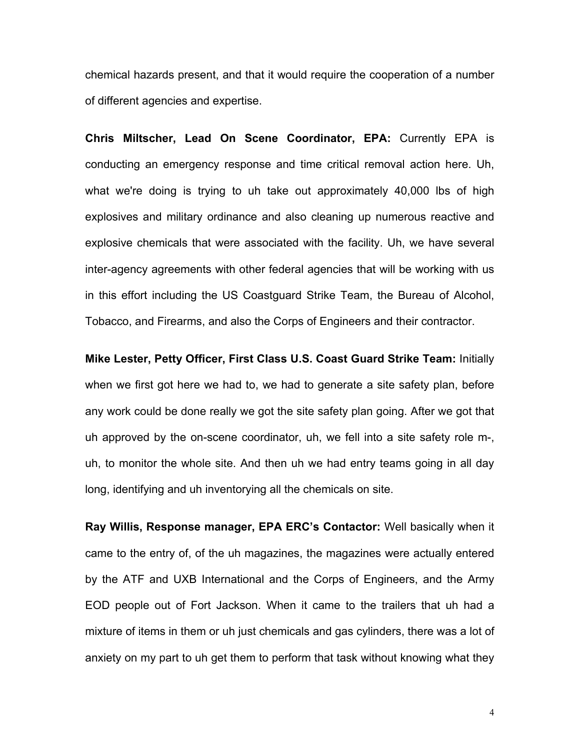chemical hazards present, and that it would require the cooperation of a number of different agencies and expertise.

**Chris Miltscher, Lead On Scene Coordinator, EPA:** Currently EPA is conducting an emergency response and time critical removal action here. Uh, what we're doing is trying to uh take out approximately 40,000 lbs of high explosives and military ordinance and also cleaning up numerous reactive and explosive chemicals that were associated with the facility. Uh, we have several inter-agency agreements with other federal agencies that will be working with us in this effort including the US Coastguard Strike Team, the Bureau of Alcohol, Tobacco, and Firearms, and also the Corps of Engineers and their contractor.

**Mike Lester, Petty Officer, First Class U.S. Coast Guard Strike Team:** Initially when we first got here we had to, we had to generate a site safety plan, before any work could be done really we got the site safety plan going. After we got that uh approved by the on-scene coordinator, uh, we fell into a site safety role m-, uh, to monitor the whole site. And then uh we had entry teams going in all day long, identifying and uh inventorying all the chemicals on site.

**Ray Willis, Response manager, EPA ERCís Contactor:** Well basically when it came to the entry of, of the uh magazines, the magazines were actually entered by the ATF and UXB International and the Corps of Engineers, and the Army EOD people out of Fort Jackson. When it came to the trailers that uh had a mixture of items in them or uh just chemicals and gas cylinders, there was a lot of anxiety on my part to uh get them to perform that task without knowing what they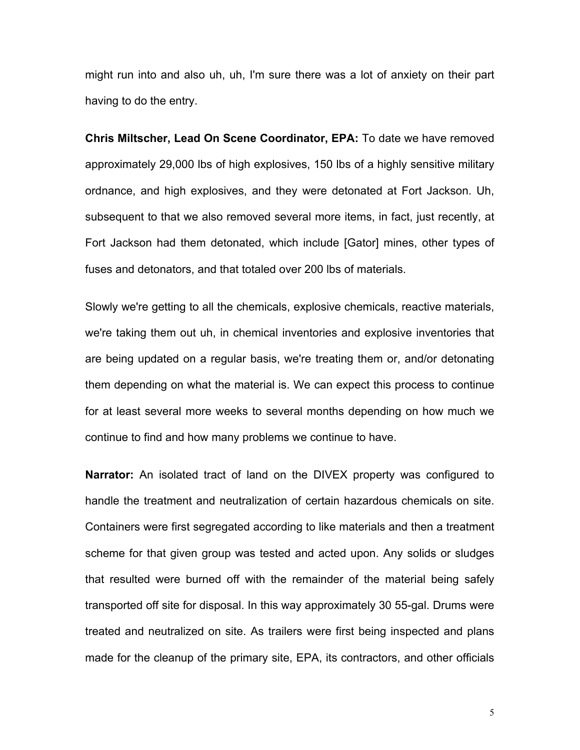might run into and also uh, uh, I'm sure there was a lot of anxiety on their part having to do the entry.

**Chris Miltscher, Lead On Scene Coordinator, EPA:** To date we have removed approximately 29,000 lbs of high explosives, 150 lbs of a highly sensitive military ordnance, and high explosives, and they were detonated at Fort Jackson. Uh, subsequent to that we also removed several more items, in fact, just recently, at Fort Jackson had them detonated, which include [Gator] mines, other types of fuses and detonators, and that totaled over 200 lbs of materials.

Slowly we're getting to all the chemicals, explosive chemicals, reactive materials, we're taking them out uh, in chemical inventories and explosive inventories that are being updated on a regular basis, we're treating them or, and/or detonating them depending on what the material is. We can expect this process to continue for at least several more weeks to several months depending on how much we continue to find and how many problems we continue to have.

**Narrator:** An isolated tract of land on the DIVEX property was configured to handle the treatment and neutralization of certain hazardous chemicals on site. Containers were first segregated according to like materials and then a treatment scheme for that given group was tested and acted upon. Any solids or sludges that resulted were burned off with the remainder of the material being safely transported off site for disposal. In this way approximately 30 55-gal. Drums were treated and neutralized on site. As trailers were first being inspected and plans made for the cleanup of the primary site, EPA, its contractors, and other officials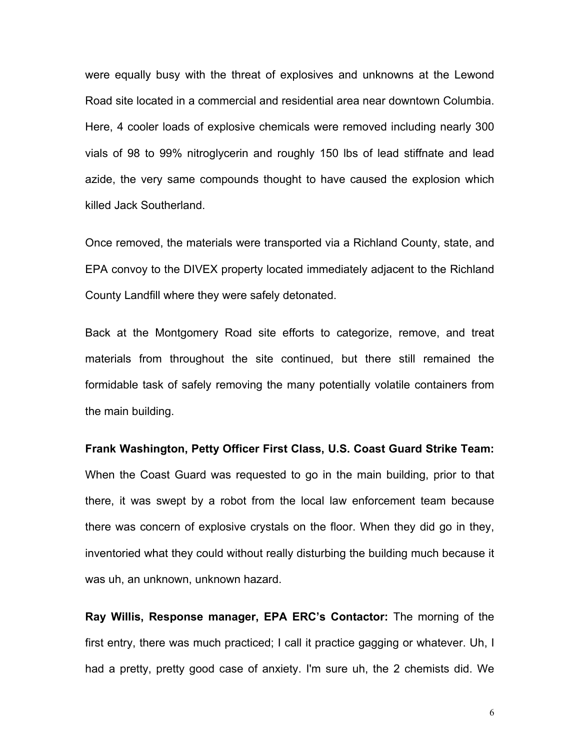were equally busy with the threat of explosives and unknowns at the Lewond Road site located in a commercial and residential area near downtown Columbia. Here, 4 cooler loads of explosive chemicals were removed including nearly 300 vials of 98 to 99% nitroglycerin and roughly 150 lbs of lead stiffnate and lead azide, the very same compounds thought to have caused the explosion which killed Jack Southerland.

Once removed, the materials were transported via a Richland County, state, and EPA convoy to the DIVEX property located immediately adjacent to the Richland County Landfill where they were safely detonated.

Back at the Montgomery Road site efforts to categorize, remove, and treat materials from throughout the site continued, but there still remained the formidable task of safely removing the many potentially volatile containers from the main building.

**Frank Washington, Petty Officer First Class, U.S. Coast Guard Strike Team:** When the Coast Guard was requested to go in the main building, prior to that there, it was swept by a robot from the local law enforcement team because there was concern of explosive crystals on the floor. When they did go in they, inventoried what they could without really disturbing the building much because it was uh, an unknown, unknown hazard.

**Ray Willis, Response manager, EPA ERC's Contactor:** The morning of the first entry, there was much practiced; I call it practice gagging or whatever. Uh, I had a pretty, pretty good case of anxiety. I'm sure uh, the 2 chemists did. We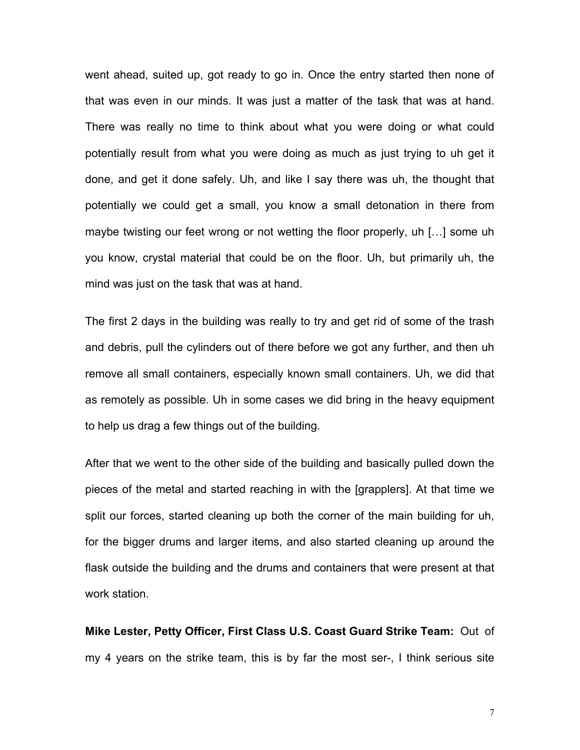went ahead, suited up, got ready to go in. Once the entry started then none of that was even in our minds. It was just a matter of the task that was at hand. There was really no time to think about what you were doing or what could potentially result from what you were doing as much as just trying to uh get it done, and get it done safely. Uh, and like I say there was uh, the thought that potentially we could get a small, you know a small detonation in there from maybe twisting our feet wrong or not wetting the floor properly, uh  $[...]$  some uh you know, crystal material that could be on the floor. Uh, but primarily uh, the mind was just on the task that was at hand.

The first 2 days in the building was really to try and get rid of some of the trash and debris, pull the cylinders out of there before we got any further, and then uh remove all small containers, especially known small containers. Uh, we did that as remotely as possible. Uh in some cases we did bring in the heavy equipment to help us drag a few things out of the building.

After that we went to the other side of the building and basically pulled down the pieces of the metal and started reaching in with the [grapplers]. At that time we split our forces, started cleaning up both the corner of the main building for uh, for the bigger drums and larger items, and also started cleaning up around the flask outside the building and the drums and containers that were present at that work station.

**Mike Lester, Petty Officer, First Class U.S. Coast Guard Strike Team:** Out of my 4 years on the strike team, this is by far the most ser-, I think serious site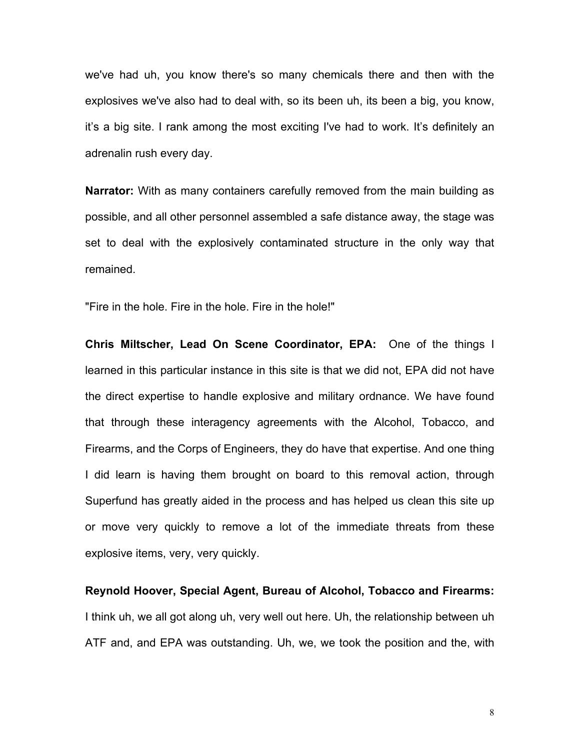we've had uh, you know there's so many chemicals there and then with the explosives we've also had to deal with, so its been uh, its been a big, you know, it's a big site. I rank among the most exciting I've had to work. It's definitely an adrenalin rush every day.

**Narrator:** With as many containers carefully removed from the main building as possible, and all other personnel assembled a safe distance away, the stage was set to deal with the explosively contaminated structure in the only way that remained.

"Fire in the hole. Fire in the hole. Fire in the hole!"

**Chris Miltscher, Lead On Scene Coordinator, EPA:** One of the things I learned in this particular instance in this site is that we did not, EPA did not have the direct expertise to handle explosive and military ordnance. We have found that through these interagency agreements with the Alcohol, Tobacco, and Firearms, and the Corps of Engineers, they do have that expertise. And one thing I did learn is having them brought on board to this removal action, through Superfund has greatly aided in the process and has helped us clean this site up or move very quickly to remove a lot of the immediate threats from these explosive items, very, very quickly.

**Reynold Hoover, Special Agent, Bureau of Alcohol, Tobacco and Firearms:** I think uh, we all got along uh, very well out here. Uh, the relationship between uh ATF and, and EPA was outstanding. Uh, we, we took the position and the, with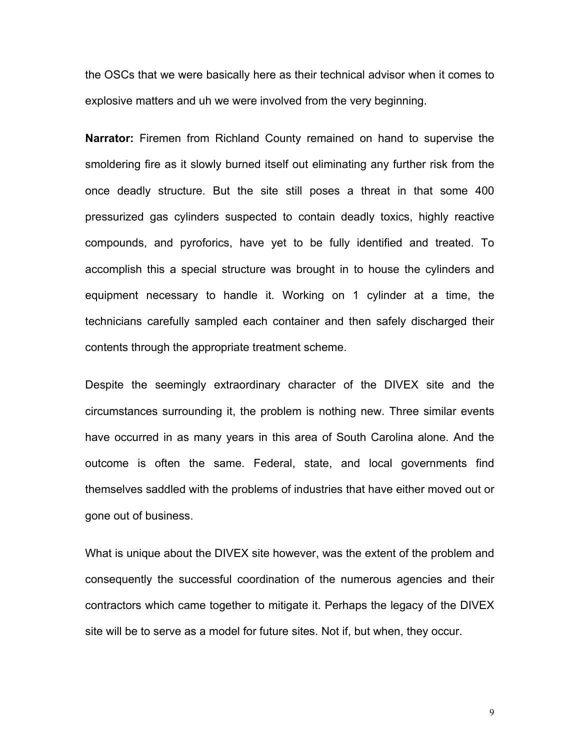the OSCs that we were basically here as their technical advisor when it comes to explosive matters and uh we were involved from the very beginning.

**Narrator:** Firemen from Richland County remained on hand to supervise the smoldering fire as it slowly burned itself out eliminating any further risk from the once deadly structure. But the site still poses a threat in that some 400 pressurized gas cylinders suspected to contain deadly toxics, highly reactive compounds, and pyroforics, have yet to be fully identified and treated. To accomplish this a special structure was brought in to house the cylinders and equipment necessary to handle it. Working on 1 cylinder at a time, the technicians carefully sampled each container and then safely discharged their contents through the appropriate treatment scheme.

Despite the seemingly extraordinary character of the DIVEX site and the circumstances surrounding it, the problem is nothing new. Three similar events have occurred in as many years in this area of South Carolina alone. And the outcome is often the same. Federal, state, and local governments find themselves saddled with the problems of industries that have either moved out or gone out of business.

What is unique about the DIVEX site however, was the extent of the problem and consequently the successful coordination of the numerous agencies and their contractors which came together to mitigate it. Perhaps the legacy of the DIVEX site will be to serve as a model for future sites. Not if, but when, they occur.